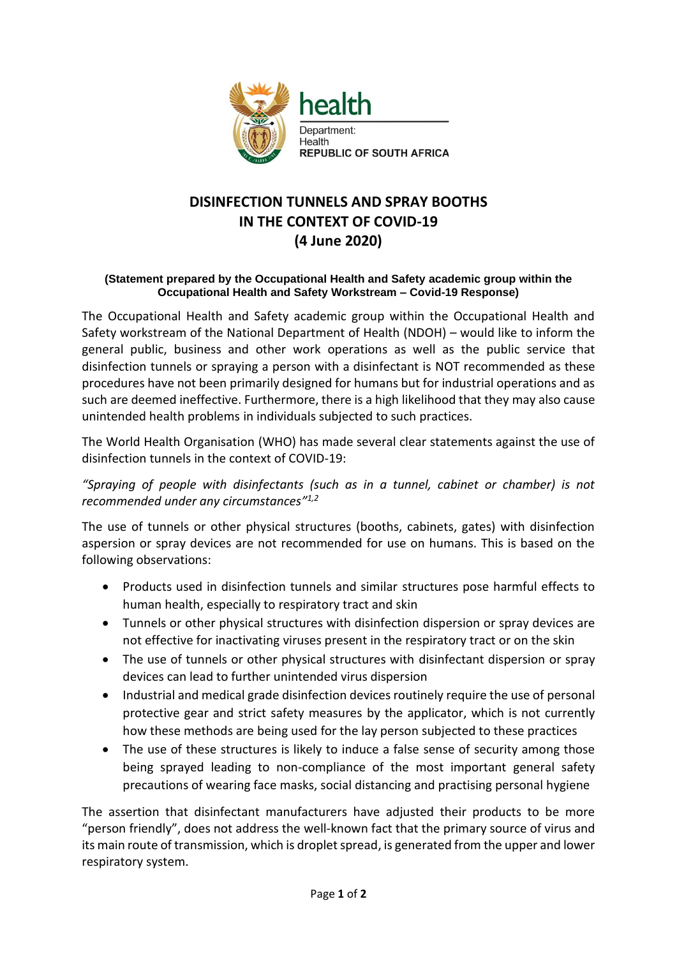

## **DISINFECTION TUNNELS AND SPRAY BOOTHS IN THE CONTEXT OF COVID-19 (4 June 2020)**

## **(Statement prepared by the Occupational Health and Safety academic group within the Occupational Health and Safety Workstream – Covid-19 Response)**

The Occupational Health and Safety academic group within the Occupational Health and Safety workstream of the National Department of Health (NDOH) – would like to inform the general public, business and other work operations as well as the public service that disinfection tunnels or spraying a person with a disinfectant is NOT recommended as these procedures have not been primarily designed for humans but for industrial operations and as such are deemed ineffective. Furthermore, there is a high likelihood that they may also cause unintended health problems in individuals subjected to such practices.

The World Health Organisation (WHO) has made several clear statements against the use of disinfection tunnels in the context of COVID-19:

*"Spraying of people with disinfectants (such as in a tunnel, cabinet or chamber) is not recommended under any circumstances" 1,2*

The use of tunnels or other physical structures (booths, cabinets, gates) with disinfection aspersion or spray devices are not recommended for use on humans. This is based on the following observations:

- Products used in disinfection tunnels and similar structures pose harmful effects to human health, especially to respiratory tract and skin
- Tunnels or other physical structures with disinfection dispersion or spray devices are not effective for inactivating viruses present in the respiratory tract or on the skin
- The use of tunnels or other physical structures with disinfectant dispersion or spray devices can lead to further unintended virus dispersion
- Industrial and medical grade disinfection devices routinely require the use of personal protective gear and strict safety measures by the applicator, which is not currently how these methods are being used for the lay person subjected to these practices
- The use of these structures is likely to induce a false sense of security among those being sprayed leading to non-compliance of the most important general safety precautions of wearing face masks, social distancing and practising personal hygiene

The assertion that disinfectant manufacturers have adjusted their products to be more "person friendly", does not address the well-known fact that the primary source of virus and its main route of transmission, which is droplet spread, is generated from the upper and lower respiratory system.